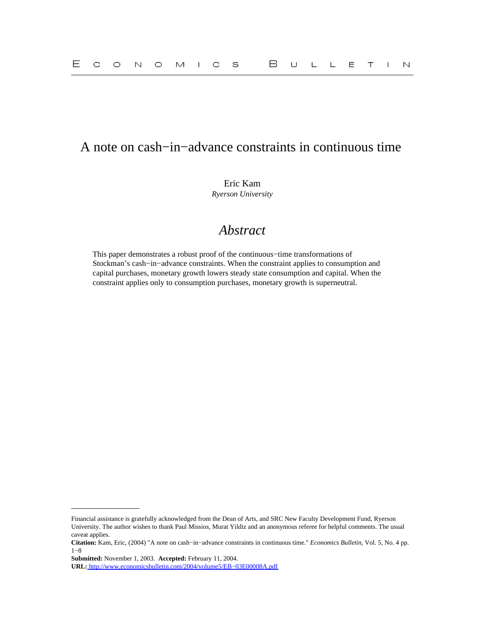# A note on cash−in−advance constraints in continuous time

Eric Kam *Ryerson University*

# *Abstract*

This paper demonstrates a robust proof of the continuous−time transformations of Stockman's cash−in−advance constraints. When the constraint applies to consumption and capital purchases, monetary growth lowers steady state consumption and capital. When the constraint applies only to consumption purchases, monetary growth is superneutral.

Financial assistance is gratefully acknowledged from the Dean of Arts, and SRC New Faculty Development Fund, Ryerson University. The author wishes to thank Paul Missios, Murat Yildiz and an anonymous referee for helpful comments. The usual caveat applies.

**Citation:** Kam, Eric, (2004) "A note on cash−in−advance constraints in continuous time." *Economics Bulletin,* Vol. 5, No. 4 pp. 1−8

**Submitted:** November 1, 2003. **Accepted:** February 11, 2004.

**URL:** [http://www.economicsbulletin.com/2004/volume5/EB−03E00008A.pdf](http://www.economicsbulletin.com/2004/volume5/EB-03E00008A.pdf)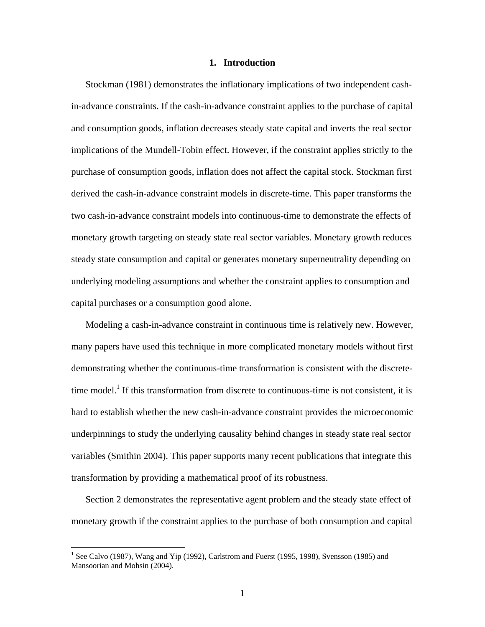#### **1. Introduction**

Stockman (1981) demonstrates the inflationary implications of two independent cashin-advance constraints. If the cash-in-advance constraint applies to the purchase of capital and consumption goods, inflation decreases steady state capital and inverts the real sector implications of the Mundell-Tobin effect. However, if the constraint applies strictly to the purchase of consumption goods, inflation does not affect the capital stock. Stockman first derived the cash-in-advance constraint models in discrete-time. This paper transforms the two cash-in-advance constraint models into continuous-time to demonstrate the effects of monetary growth targeting on steady state real sector variables. Monetary growth reduces steady state consumption and capital or generates monetary superneutrality depending on underlying modeling assumptions and whether the constraint applies to consumption and capital purchases or a consumption good alone.

Modeling a cash-in-advance constraint in continuous time is relatively new. However, many papers have used this technique in more complicated monetary models without first demonstrating whether the continuous-time transformation is consistent with the discretetime model.<sup>1</sup> If this transformation from discrete to continuous-time is not consistent, it is hard to establish whether the new cash-in-advance constraint provides the microeconomic underpinnings to study the underlying causality behind changes in steady state real sector variables (Smithin 2004). This paper supports many recent publications that integrate this transformation by providing a mathematical proof of its robustness.

Section 2 demonstrates the representative agent problem and the steady state effect of monetary growth if the constraint applies to the purchase of both consumption and capital

1

<span id="page-1-0"></span><sup>&</sup>lt;sup>1</sup> See Calvo (1987), Wang and Yip (1992), Carlstrom and Fuerst (1995, 1998), Svensson (1985) and Mansoorian and Mohsin (2004).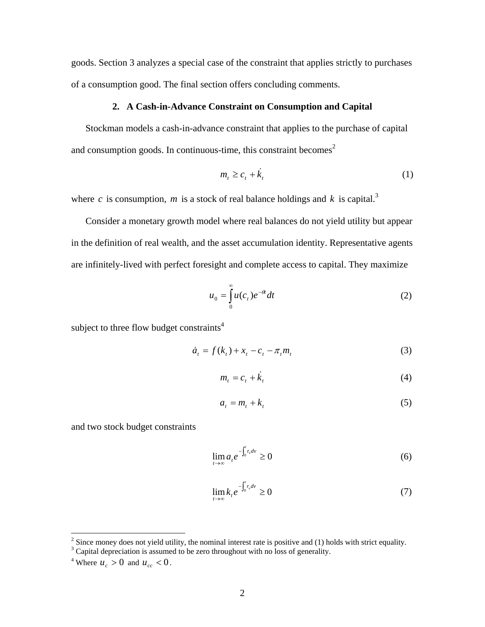goods. Section 3 analyzes a special case of the constraint that applies strictly to purchases of a consumption good. The final section offers concluding comments.

### **2. A Cash-in-Advance Constraint on Consumption and Capital**

Stockman models a cash-in-advance constraint that applies to the purchase of capital and consumption goods. In continuous-time, this constraint becomes<sup>[2](#page-2-0)</sup>

$$
m_t \geq c_t + \dot{k}_t \tag{1}
$$

where *c* is consumption, *m* is a stock of real balance holdings and *k* is capital.<sup>[3](#page-2-1)</sup>

Consider a monetary growth model where real balances do not yield utility but appear in the definition of real wealth, and the asset accumulation identity. Representative agents are infinitely-lived with perfect foresight and complete access to capital. They maximize

$$
u_0 = \int_0^\infty u(c_t) e^{-\theta t} dt
$$
 (2)

subject to three flow budget constraints<sup>4</sup>

$$
\dot{a}_t = f(k_t) + x_t - c_t - \pi_t m_t \tag{3}
$$

$$
m_t = c_t + \dot{k}_t \tag{4}
$$

$$
a_t = m_t + k_t \tag{5}
$$

and two stock budget constraints

$$
\lim_{t \to \infty} a_t e^{-\int_0^t r_v dv} \ge 0
$$
\n(6)

$$
\lim_{t \to \infty} k_t e^{-\int_0^t r_v dv} \ge 0
$$
\n(7)

<span id="page-2-0"></span> $\frac{2}{3}$  Since money does not yield utility, the nominal interest rate is positive and (1) holds with strict equality.

<span id="page-2-1"></span><sup>&</sup>lt;sup>3</sup> Capital depreciation is assumed to be zero throughout with no loss of generality.<br><sup>4</sup> Where  $u > 0$  and  $u < 0$ 

<span id="page-2-2"></span><sup>&</sup>lt;sup>4</sup> Where  $u_c > 0$  and  $u_{cc} < 0$ .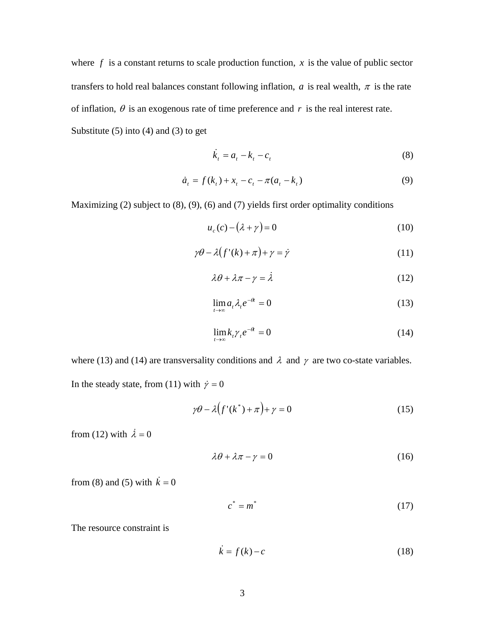where  $f$  is a constant returns to scale production function,  $x$  is the value of public sector transfers to hold real balances constant following inflation,  $a$  is real wealth,  $\pi$  is the rate of inflation,  $\theta$  is an exogenous rate of time preference and  $r$  is the real interest rate. Substitute  $(5)$  into  $(4)$  and  $(3)$  to get

$$
\dot{k}_t = a_t - k_t - c_t \tag{8}
$$

$$
\dot{a}_t = f(k_t) + x_t - c_t - \pi(a_t - k_t)
$$
\n(9)

Maximizing (2) subject to (8), (9), (6) and (7) yields first order optimality conditions

$$
u_c(c) - (\lambda + \gamma) = 0 \tag{10}
$$

$$
\gamma \theta - \lambda \big( f'(k) + \pi \big) + \gamma = \dot{\gamma} \tag{11}
$$

$$
\lambda \theta + \lambda \pi - \gamma = \lambda \tag{12}
$$

$$
\lim_{t \to \infty} a_t \lambda_t e^{-\theta} = 0 \tag{13}
$$

$$
\lim_{t \to \infty} k_t \gamma_t e^{-\theta} = 0 \tag{14}
$$

where (13) and (14) are transversality conditions and  $\lambda$  and  $\gamma$  are two co-state variables. In the steady state, from (11) with  $\dot{\gamma} = 0$ 

$$
\gamma \theta - \lambda \left( f'(k^*) + \pi \right) + \gamma = 0 \tag{15}
$$

from (12) with  $\dot{\lambda} = 0$ 

$$
\lambda \theta + \lambda \pi - \gamma = 0 \tag{16}
$$

from (8) and (5) with  $\dot{k} = 0$ 

$$
c^* = m^* \tag{17}
$$

The resource constraint is

$$
\dot{k} = f(k) - c \tag{18}
$$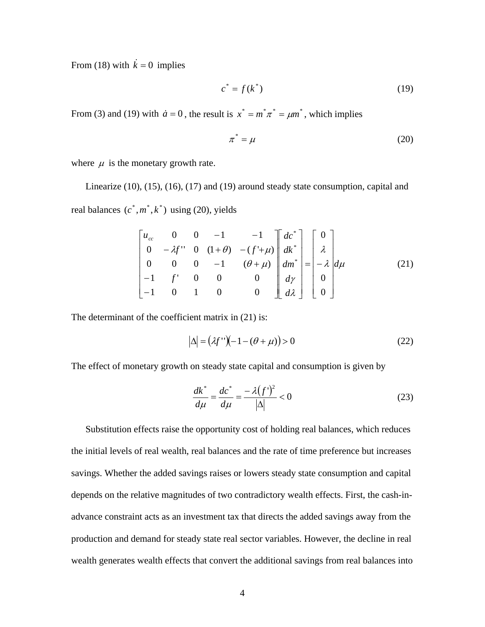From (18) with  $\dot{k} = 0$  implies

$$
c^* = f(k^*)\tag{19}
$$

From (3) and (19) with  $\dot{a} = 0$ , the result is  $x^* = m^* \pi^* = \mu m^*$ , which implies

$$
\pi^* = \mu \tag{20}
$$

where  $\mu$  is the monetary growth rate.

Linearize (10), (15), (16), (17) and (19) around steady state consumption, capital and real balances  $(c^*, m^*, k^*)$  using (20), yields

$$
\begin{bmatrix} u_{cc} & 0 & 0 & -1 & -1 \ 0 & -\lambda f^{\prime \prime} & 0 & (1+\theta) & -(f' + \mu) \ 0 & 0 & 0 & -1 & (\theta + \mu) \ -1 & f' & 0 & 0 & 0 \ -1 & 0 & 1 & 0 & 0 \end{bmatrix} \begin{bmatrix} dc^* \ dk^* \ dk^* \ dm^* \ dm^* \ d\mu^* \ d\lambda \end{bmatrix} = \begin{bmatrix} 0 \ \lambda \ -\lambda \ d\mu \end{bmatrix} d\mu \qquad (21)
$$

The determinant of the coefficient matrix in (21) is:

$$
|\Delta| = (\lambda f^{\prime\prime})\bigg(-1 - (\theta + \mu)\bigg) > 0\tag{22}
$$

The effect of monetary growth on steady state capital and consumption is given by

$$
\frac{dk^*}{d\mu} = \frac{dc^*}{d\mu} = \frac{-\lambda(f')^2}{|\Delta|} < 0
$$
\n(23)

Substitution effects raise the opportunity cost of holding real balances, which reduces the initial levels of real wealth, real balances and the rate of time preference but increases savings. Whether the added savings raises or lowers steady state consumption and capital depends on the relative magnitudes of two contradictory wealth effects. First, the cash-inadvance constraint acts as an investment tax that directs the added savings away from the production and demand for steady state real sector variables. However, the decline in real wealth generates wealth effects that convert the additional savings from real balances into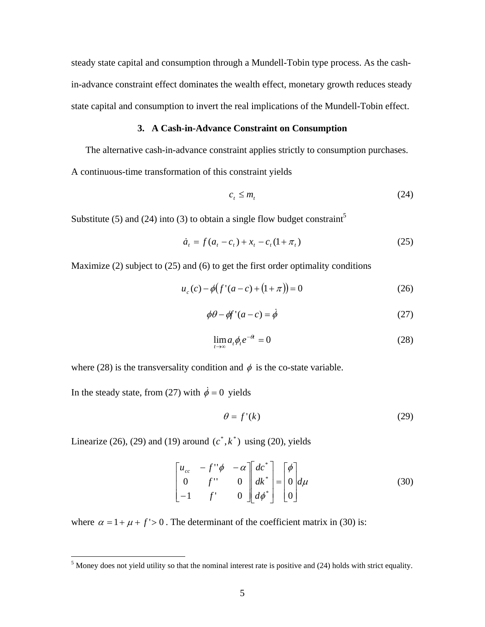steady state capital and consumption through a Mundell-Tobin type process. As the cashin-advance constraint effect dominates the wealth effect, monetary growth reduces steady state capital and consumption to invert the real implications of the Mundell-Tobin effect.

#### **3. A Cash-in-Advance Constraint on Consumption**

The alternative cash-in-advance constraint applies strictly to consumption purchases.

A continuous-time transformation of this constraint yields

$$
c_t \le m_t \tag{24}
$$

Substitute ([5](#page-5-0)) and (24) into (3) to obtain a single flow budget constraint<sup>5</sup>

$$
\dot{a}_t = f(a_t - c_t) + x_t - c_t(1 + \pi_t)
$$
\n(25)

Maximize (2) subject to (25) and (6) to get the first order optimality conditions

$$
u_c(c) - \phi(f'(a-c) + (1+\pi)) = 0
$$
 (26)

$$
\phi \theta - \phi f'(a - c) = \dot{\phi} \tag{27}
$$

$$
\lim_{t \to \infty} a_t \phi_t e^{-\theta} = 0 \tag{28}
$$

where (28) is the transversality condition and  $\phi$  is the co-state variable.

In the steady state, from (27) with  $\dot{\phi} = 0$  yields

$$
\theta = f'(k) \tag{29}
$$

Linearize (26), (29) and (19) around  $(c^*, k^*)$  using (20), yields

$$
\begin{bmatrix} u_{cc} & -f''\phi & -\alpha \\ 0 & f'' & 0 \\ -1 & f' & 0 \end{bmatrix} \begin{bmatrix} dc^* \\ dk^* \\ d\phi^* \end{bmatrix} = \begin{bmatrix} \phi \\ 0 \\ 0 \end{bmatrix} d\mu
$$
 (30)

where  $\alpha = 1 + \mu + f' > 0$ . The determinant of the coefficient matrix in (30) is:

<span id="page-5-0"></span> <sup>5</sup>  $<sup>5</sup>$  Money does not yield utility so that the nominal interest rate is positive and (24) holds with strict equality.</sup>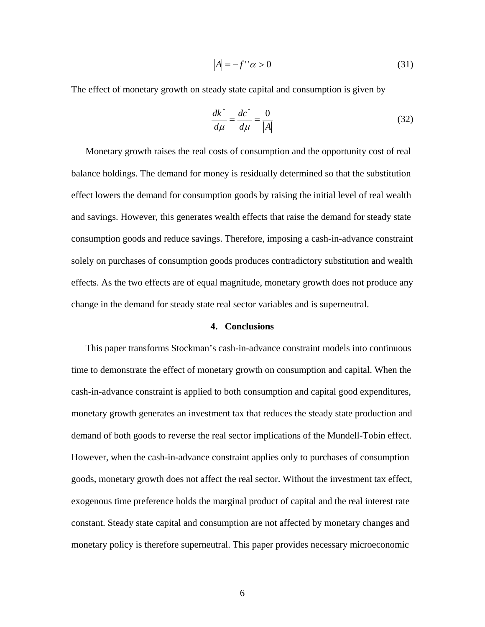$$
|A| = -f''\alpha > 0\tag{31}
$$

The effect of monetary growth on steady state capital and consumption is given by

$$
\frac{dk^*}{d\mu} = \frac{dc^*}{d\mu} = \frac{0}{|A|} \tag{32}
$$

Monetary growth raises the real costs of consumption and the opportunity cost of real balance holdings. The demand for money is residually determined so that the substitution effect lowers the demand for consumption goods by raising the initial level of real wealth and savings. However, this generates wealth effects that raise the demand for steady state consumption goods and reduce savings. Therefore, imposing a cash-in-advance constraint solely on purchases of consumption goods produces contradictory substitution and wealth effects. As the two effects are of equal magnitude, monetary growth does not produce any change in the demand for steady state real sector variables and is superneutral.

### **4. Conclusions**

This paper transforms Stockman's cash-in-advance constraint models into continuous time to demonstrate the effect of monetary growth on consumption and capital. When the cash-in-advance constraint is applied to both consumption and capital good expenditures, monetary growth generates an investment tax that reduces the steady state production and demand of both goods to reverse the real sector implications of the Mundell-Tobin effect. However, when the cash-in-advance constraint applies only to purchases of consumption goods, monetary growth does not affect the real sector. Without the investment tax effect, exogenous time preference holds the marginal product of capital and the real interest rate constant. Steady state capital and consumption are not affected by monetary changes and monetary policy is therefore superneutral. This paper provides necessary microeconomic